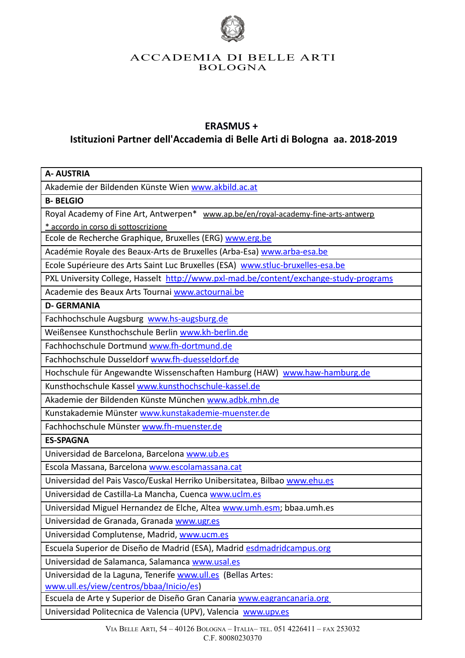

# ACCADEMIA DI BELLE ARTI BOLOGNA

# **ERASMUS +**

# **Istituzioni Partner dell'Accademia di Belle Arti di Bologna aa. 2018-2019**

| <b>A- AUSTRIA</b>                                                                     |
|---------------------------------------------------------------------------------------|
| Akademie der Bildenden Künste Wien www.akbild.ac.at                                   |
|                                                                                       |
| <b>B-BELGIO</b>                                                                       |
| Royal Academy of Fine Art, Antwerpen* www.ap.be/en/royal-academy-fine-arts-antwerp    |
| * accordo in corso di sottoscrizione                                                  |
| Ecole de Recherche Graphique, Bruxelles (ERG) www.erg.be                              |
| Académie Royale des Beaux-Arts de Bruxelles (Arba-Esa) www.arba-esa.be                |
| Ecole Supérieure des Arts Saint Luc Bruxelles (ESA) www.stluc-bruxelles-esa.be        |
| PXL University College, Hasselt http://www.pxl-mad.be/content/exchange-study-programs |
| Academie des Beaux Arts Tournai www.actournai.be                                      |
| <b>D- GERMANIA</b>                                                                    |
| Fachhochschule Augsburg www.hs-augsburg.de                                            |
| Weißensee Kunsthochschule Berlin www.kh-berlin.de                                     |
| Fachhochschule Dortmund www.fh-dortmund.de                                            |
| Fachhochschule Dusseldorf www.fh-duesseldorf.de                                       |
| Hochschule für Angewandte Wissenschaften Hamburg (HAW) www.haw-hamburg.de             |
| Kunsthochschule Kassel www.kunsthochschule-kassel.de                                  |
| Akademie der Bildenden Künste München www.adbk.mhn.de                                 |
| Kunstakademie Münster www.kunstakademie-muenster.de                                   |
| Fachhochschule Münster www.fh-muenster.de                                             |
| <b>ES-SPAGNA</b>                                                                      |
| Universidad de Barcelona, Barcelona www.ub.es                                         |
| Escola Massana, Barcelona www.escolamassana.cat                                       |
| Universidad del Pais Vasco/Euskal Herriko Unibersitatea, Bilbao www.ehu.es            |
| Universidad de Castilla-La Mancha, Cuenca www.uclm.es                                 |
| Universidad Miguel Hernandez de Elche, Altea www.umh.esm; bbaa.umh.es                 |
| Universidad de Granada, Granada www.ugr.es                                            |
| Universidad Complutense, Madrid, www.ucm.es                                           |
| Escuela Superior de Diseño de Madrid (ESA), Madrid esdmadridcampus.org                |
| Universidad de Salamanca, Salamanca www.usal.es                                       |
| Universidad de la Laguna, Tenerife www.ull.es (Bellas Artes:                          |
| www.ull.es/view/centros/bbaa/Inicio/es)                                               |
| Escuela de Arte y Superior de Diseño Gran Canaria www.eagrancanaria.org               |
| Universidad Politecnica de Valencia (UPV), Valencia www.upv.es                        |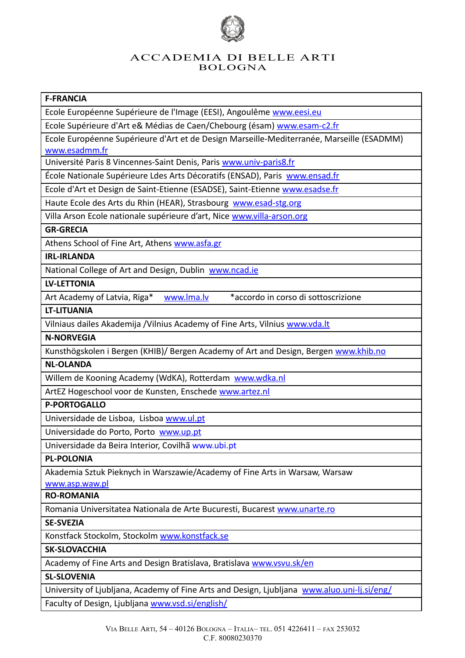

# ACCADEMIA DI BELLE ARTI BOLOGNA

## **F-FRANCIA**

Ecole Européenne Supérieure de l'Image (EESI), Angoulême [www.eesi.eu](http://www.eesi.eu/)

Ecole Supérieure d'Art e& Médias de Caen/Chebourg (ésam) [www.esam-c2.fr](http://www.esam-c2.fr/)

Ecole Européenne Supérieure d'Art et de Design Marseille-Mediterranée, Marseille (ESADMM) [www.esadmm.fr](http://www.esadmm.fr/)

Université Paris 8 Vincennes-Saint Denis, Paris [www.univ-paris8.fr](http://www.univ-paris8.fr/)

École Nationale Supérieure Ldes Arts Décoratifs (ENSAD), Paris [www.ensad.fr](http://www.ensad.fr/) 

Ecole d'Art et Design de Saint-Etienne (ESADSE), Saint-Etienne [www.esadse.fr](http://www.esadse.fr/)

Haute Ecole des Arts du Rhin (HEAR), Strasbourg [www.esad-stg.org](http://www.esad-stg.org/)

Villa Arson Ecole nationale supérieure d'art, Nice [www.villa-arson.org](http://www.villa-arson.org/)

#### **GR-GRECIA**

Athens School of Fine Art, Athens [www.asfa.gr](http://www.asfa.gr/)

#### **IRL-IRLANDA**

National College of Art and Design, Dublin [www.ncad.ie](http://www.ncad.ie/)

#### **LV-LETTONIA**

Art Academy of Latvia, Riga\* www.lma.ly \*accordo in corso di sottoscrizione

#### **LT-LITUANIA**

Vilniaus dailes Akademija /Vilnius Academy of Fine Arts, Vilnius [www.vda.lt](http://www.vda.lt/)

#### **N-NORVEGIA**

Kunsthögskolen i Bergen (KHIB)/ Bergen Academy of Art and Design, Bergen [www.khib.no](http://www.khib.no/)

## **NL-OLANDA**

Willem de Kooning Academy (WdKA), Rotterdam [www.wdka.nl](http://www.wdka.nl/)

ArtEZ Hogeschool voor de Kunsten, Enschede [www.artez.nl](http://www.artez.nl/)

#### **P-PORTOGALLO**

Universidade de Lisboa, Lisboa [www.ul.pt](http://www.ul.pt/)

Universidade do Porto, Porto [www.up.pt](http://www.up.pt/)

Universidade da Beira Interior, Covilhã www.ubi.pt

# **PL-POLONIA**

Akademia Sztuk Pieknych in Warszawie/Academy of Fine Arts in Warsaw, Warsaw

[www.asp.waw.pl](http://www.asp.waw.pl/) 

# **RO-ROMANIA**

Romania Universitatea Nationala de Arte Bucuresti, Bucarest [www.unarte.ro](http://www.unarte.ro/)

**SE-SVEZIA**

Konstfack Stockolm, Stockolm [www.konstfack.se](http://www.konstfack.se/)

#### **SK-SLOVACCHIA**

Academy of Fine Arts and Design Bratislava, Bratislava [www.vsvu.sk/en](http://www.vsvu.sk/en)

#### **SL-SLOVENIA**

University of Ljubljana, Academy of Fine Arts and Design, Ljubljana [www.aluo.uni-lj.si/eng/](http://www.aluo.uni-lj.si/eng/) Faculty of Design, Ljubljana [www.vsd.si/english/](http://www.vsd.si/english/)